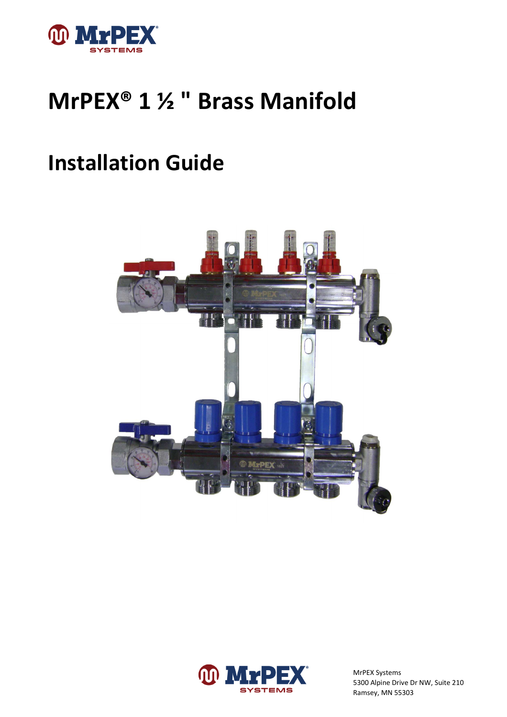

# **MrPEX® 1 ½ " Brass Manifold**

## **Installation Guide**



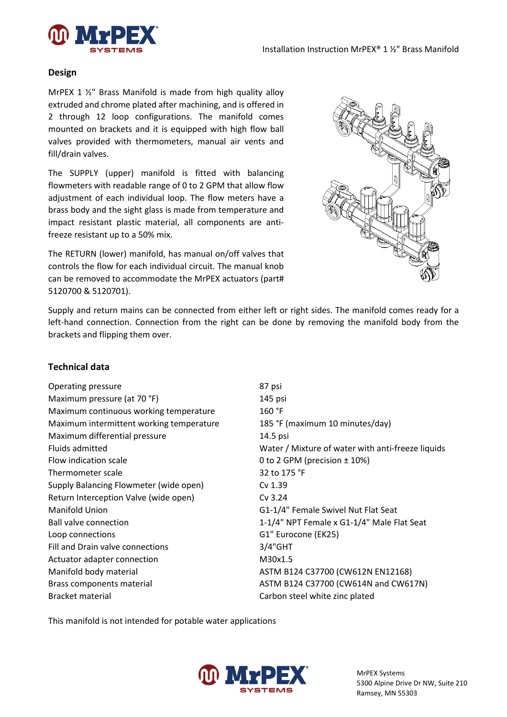

#### **Design**

MrPEX 1 ½" Brass Manifold is made from high quality alloy extruded and chrome plated after machining, and is offered in 2 through 12 loop configurations. The manifold comes mounted on brackets and it is equipped with high flow ball valves provided with thermometers, manual air vents and fill/drain valves.

The SUPPLY (upper) manifold is fitted with balancing flowmeters with readable range of 0 to 2 GPM that allow flow adjustment of each individual loop. The flow meters have a brass body and the sight glass is made from temperature and impact resistant plastic material, all components are antifreeze resistant up to a 50% mix.

The RETURN (lower) manifold, has manual on/off valves that controls the flow for each individual circuit. The manual knob can be removed to accommodate the MrPEX actuators (part# 5120700 & 5120701).



Supply and return mains can be connected from either left or right sides. The manifold comes ready for a left-hand connection. Connection from the right can be done by removing the manifold body from the brackets and flipping them over.

#### **Technical data**

Operating pressure 87 psi Maximum pressure (at 70 °F) 145 psi Maximum continuous working temperature 160 °F Maximum intermittent working temperature 185 °F (maximum 10 minutes/day) Maximum differential pressure 14.5 psi Flow indication scale **Example 2** to 2 GPM (precision  $\pm$  10%) Thermometer scale 32 to 175 °F Supply Balancing Flowmeter (wide open) Cv 1.39 Return Interception Valve (wide open) Cv 3.24 Manifold Union G1-1/4" Female Swivel Nut Flat Seat Ball valve connection 1-1/4" NPT Female x G1-1/4" Male Flat Seat Loop connections G1" Eurocone (EK25) Fill and Drain valve connections The Connection S/4"GHT Actuator adapter connection M30x1.5 Manifold body material Manuson Manifold body material ASTM B124 C37700 (CW612N EN12168) Bracket material **Bracket material** Carbon steel white zinc plated

Fluids admitted **Water / Mixture of water with anti-freeze liquids** Fluids admitted Brass components material and CW617N) and CW617N and CW617N

This manifold is not intended for potable water applications

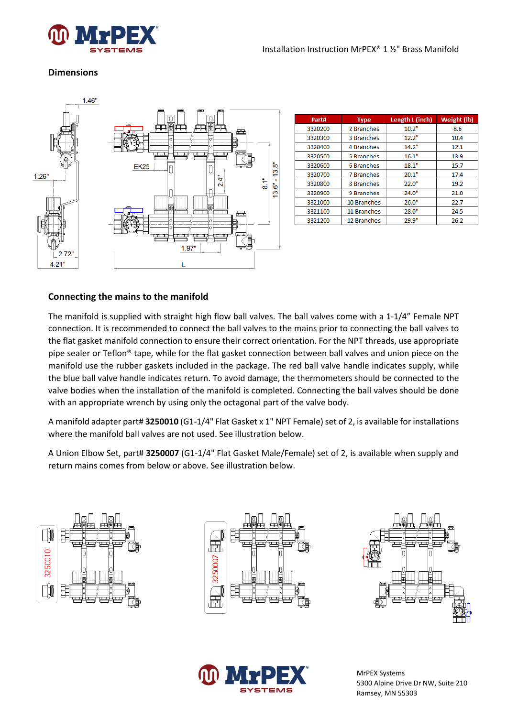

## **Dimensions**

![](_page_2_Figure_3.jpeg)

| Part#   | <b>Type</b>       | Length L (inch) | Weight (lb) |
|---------|-------------------|-----------------|-------------|
| 3320200 | 2 Branches        | 10,2"           | 8.6         |
| 3320300 | 3 Branches        | 12.2"           | 10.4        |
| 3320400 | 4 Branches        | 14.2"           | 12.1        |
| 3320500 | 5 Branches        | 16.1"           | 13.9        |
| 3320600 | 6 Branches        | 18.1"           | 15.7        |
| 3320700 | <b>7 Branches</b> | 20.1"           | 17.4        |
| 3320800 | 8 Branches        | 22.0"           | 19.2        |
| 3320900 | 9 Branches        | 24.0"           | 21.0        |
| 3321000 | 10 Branches       | 26.0"           | 22.7        |
| 3321100 | 11 Branches       | 28.0"           | 24.5        |
| 3321200 | 12 Branches       | 29.9"           | 26.2        |

## **Connecting the mains to the manifold**

The manifold is supplied with straight high flow ball valves. The ball valves come with a 1-1/4" Female NPT connection. It is recommended to connect the ball valves to the mains prior to connecting the ball valves to the flat gasket manifold connection to ensure their correct orientation. For the NPT threads, use appropriate pipe sealer or Teflon® tape, while for the flat gasket connection between ball valves and union piece on the manifold use the rubber gaskets included in the package. The red ball valve handle indicates supply, while the blue ball valve handle indicates return. To avoid damage, the thermometers should be connected to the valve bodies when the installation of the manifold is completed. Connecting the ball valves should be done with an appropriate wrench by using only the octagonal part of the valve body.

A manifold adapter part# **3250010** (G1-1/4" Flat Gasket x 1" NPT Female) set of 2, is available for installations where the manifold ball valves are not used. See illustration below.

A Union Elbow Set, part# **3250007** (G1-1/4" Flat Gasket Male/Female) set of 2, is available when supply and return mains comes from below or above. See illustration below.

![](_page_2_Figure_9.jpeg)

![](_page_2_Picture_10.jpeg)

![](_page_2_Picture_11.jpeg)

![](_page_2_Picture_12.jpeg)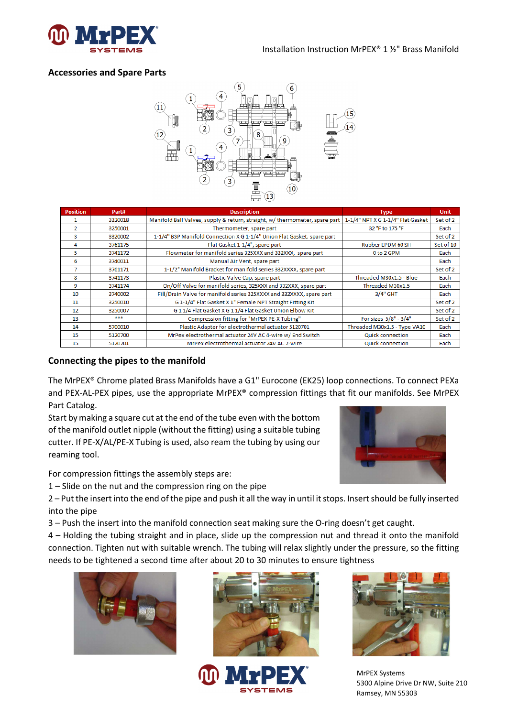![](_page_3_Picture_0.jpeg)

## **Accessories and Spare Parts**

![](_page_3_Figure_3.jpeg)

| <b>Position</b> | Part#   | <b>Description</b>                                                         | <b>Type</b>                       | <b>Unit</b> |
|-----------------|---------|----------------------------------------------------------------------------|-----------------------------------|-------------|
|                 | 3320018 | Manifold Ball Valves, supply & return, straight, w/thermometer, spare part | 1-1/4" NPT X G 1-1/4" Flat Gasket | Set of 2    |
| $\overline{2}$  | 3250001 | Thermometer, spare part                                                    | 32 °F to 175 °F                   | Each        |
| 3               | 3320002 | 1-1/4" BSP Manifold Connection X G 1-1/4" Union Flat Gasket, spare part    |                                   | Set of 2    |
| 4               | 3761175 | Flat Gasket 1-1/4", spare part                                             | Rubber EPDM 60 SH                 | Set of 10   |
| 5.              | 3741172 | Flowmeter for manifold series 325XXX and 332XXX, spare part                | 0 to 2 GPM                        | Each        |
| 6               | 3740011 | Manual Air Vent, spare part                                                |                                   | Each        |
| 7               | 3761171 | 1-1/2" Manifold Bracket for manifold series 332XXXX, spare part            |                                   | Set of 2    |
| 8               | 3741173 | Plastic Valve Cap, spare part                                              | Threaded M30x1.5 - Blue           | Each        |
| 9               | 3741174 | On/Off Valve for manifold series, 325XXX and 332XXX, spare part            | Threaded M30x1.5                  | Each        |
| 10              | 3740002 | Fill/Drain Valve for manifold series 325XXXX and 332XXXX, spare part       | 3/4" GHT                          | Each        |
| 11              | 3250010 | G 1-1/4" Flat Gasket X 1" Female NPT Straight Fitting Kit                  |                                   | Set of 2    |
| 12              | 3250007 | G 11/4 Flat Gasket X G 11/4 Flat Gasket Union Elbow Kit                    |                                   | Set of 2    |
| 13              | ***     | Compression fitting for "MrPEX PE-X Tubing"                                | For sizes 5/8" - 3/4"             | Set of 2    |
| 14              | 5700010 | Plastic Adapter for electrothermal actuator 5120701                        | Threaded M30x1.5 - Type VA10      | Each        |
| 15              | 5120700 | MrPex electrothermal actuator 24V AC 4-wire w/ End Switch                  | <b>Quick connection</b>           | Each        |
| 15              | 5120701 | MrPex electrothermal actuator 24V AC 2-wire                                | <b>Quick connection</b>           | Each        |

## **Connecting the pipes to the manifold**

The MrPEX® Chrome plated Brass Manifolds have a G1" Eurocone (EK25) loop connections. To connect PEXa and PEX-AL-PEX pipes, use the appropriate MrPEX® compression fittings that fit our manifolds. See MrPEX Part Catalog.

Start by making a square cut at the end of the tube even with the bottom of the manifold outlet nipple (without the fitting) using a suitable tubing cutter. If PE-X/AL/PE-X Tubing is used, also ream the tubing by using our reaming tool.

![](_page_3_Picture_8.jpeg)

For compression fittings the assembly steps are:

1 – Slide on the nut and the compression ring on the pipe

2 – Put the insert into the end of the pipe and push it all the way in until it stops. Insert should be fully inserted into the pipe

3 – Push the insert into the manifold connection seat making sure the O-ring doesn't get caught.

4 – Holding the tubing straight and in place, slide up the compression nut and thread it onto the manifold connection. Tighten nut with suitable wrench. The tubing will relax slightly under the pressure, so the fitting needs to be tightened a second time after about 20 to 30 minutes to ensure tightness

![](_page_3_Picture_14.jpeg)

![](_page_3_Picture_15.jpeg)

![](_page_3_Picture_16.jpeg)

![](_page_3_Picture_17.jpeg)

MrPEX Systems 5300 Alpine Drive Dr NW, Suite 210 Ramsey, MN 55303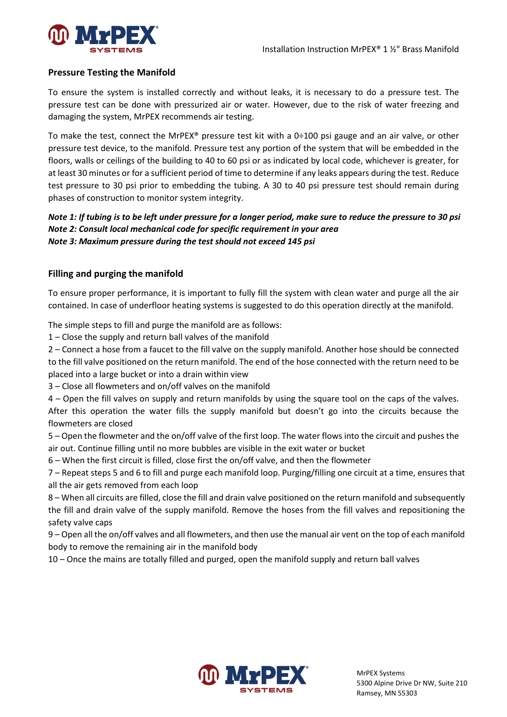![](_page_4_Picture_1.jpeg)

## **Pressure Testing the Manifold**

To ensure the system is installed correctly and without leaks, it is necessary to do a pressure test. The pressure test can be done with pressurized air or water. However, due to the risk of water freezing and damaging the system, MrPEX recommends air testing.

To make the test, connect the MrPEX® pressure test kit with a 0÷100 psi gauge and an air valve, or other pressure test device, to the manifold. Pressure test any portion of the system that will be embedded in the floors, walls or ceilings of the building to 40 to 60 psi or as indicated by local code, whichever is greater, for at least 30 minutes or for a sufficient period of time to determine if any leaks appears during the test. Reduce test pressure to 30 psi prior to embedding the tubing. A 30 to 40 psi pressure test should remain during phases of construction to monitor system integrity.

## *Note 1: If tubing is to be left under pressure for a longer period, make sure to reduce the pressure to 30 psi Note 2: Consult local mechanical code for specific requirement in your area Note 3: Maximum pressure during the test should not exceed 145 psi*

## **Filling and purging the manifold**

To ensure proper performance, it is important to fully fill the system with clean water and purge all the air contained. In case of underfloor heating systems is suggested to do this operation directly at the manifold.

The simple steps to fill and purge the manifold are as follows:

1 – Close the supply and return ball valves of the manifold

2 – Connect a hose from a faucet to the fill valve on the supply manifold. Another hose should be connected to the fill valve positioned on the return manifold. The end of the hose connected with the return need to be placed into a large bucket or into a drain within view

3 – Close all flowmeters and on/off valves on the manifold

4 – Open the fill valves on supply and return manifolds by using the square tool on the caps of the valves. After this operation the water fills the supply manifold but doesn't go into the circuits because the flowmeters are closed

5 – Open the flowmeter and the on/off valve of the first loop. The water flows into the circuit and pushes the air out. Continue filling until no more bubbles are visible in the exit water or bucket

6 – When the first circuit is filled, close first the on/off valve, and then the flowmeter

7 – Repeat steps 5 and 6 to fill and purge each manifold loop. Purging/filling one circuit at a time, ensures that all the air gets removed from each loop

8 – When all circuits are filled, close the fill and drain valve positioned on the return manifold and subsequently the fill and drain valve of the supply manifold. Remove the hoses from the fill valves and repositioning the safety valve caps

9 – Open all the on/off valves and all flowmeters, and then use the manual air vent on the top of each manifold body to remove the remaining air in the manifold body

10 – Once the mains are totally filled and purged, open the manifold supply and return ball valves

![](_page_4_Picture_19.jpeg)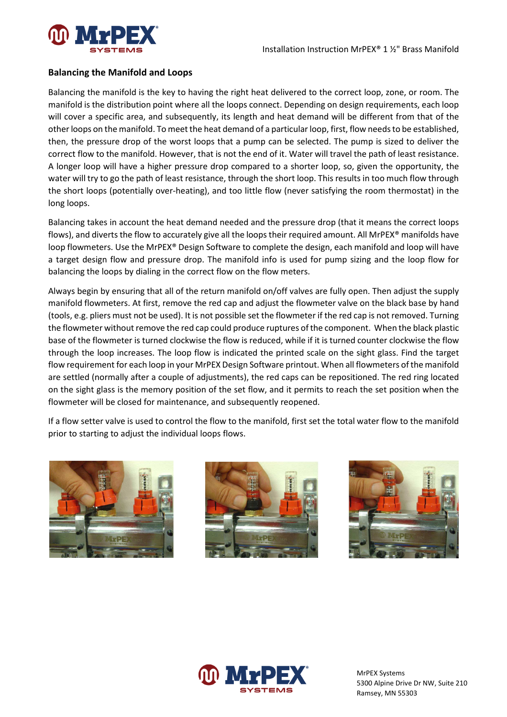![](_page_5_Picture_0.jpeg)

#### **Balancing the Manifold and Loops**

Balancing the manifold is the key to having the right heat delivered to the correct loop, zone, or room. The manifold is the distribution point where all the loops connect. Depending on design requirements, each loop will cover a specific area, and subsequently, its length and heat demand will be different from that of the other loops on the manifold. To meet the heat demand of a particular loop, first, flow needs to be established, then, the pressure drop of the worst loops that a pump can be selected. The pump is sized to deliver the correct flow to the manifold. However, that is not the end of it. Water will travel the path of least resistance. A longer loop will have a higher pressure drop compared to a shorter loop, so, given the opportunity, the water will try to go the path of least resistance, through the short loop. This results in too much flow through the short loops (potentially over-heating), and too little flow (never satisfying the room thermostat) in the long loops.

Balancing takes in account the heat demand needed and the pressure drop (that it means the correct loops flows), and diverts the flow to accurately give all the loops their required amount. All MrPEX® manifolds have loop flowmeters. Use the MrPEX® Design Software to complete the design, each manifold and loop will have a target design flow and pressure drop. The manifold info is used for pump sizing and the loop flow for balancing the loops by dialing in the correct flow on the flow meters.

Always begin by ensuring that all of the return manifold on/off valves are fully open. Then adjust the supply manifold flowmeters. At first, remove the red cap and adjust the flowmeter valve on the black base by hand (tools, e.g. pliers must not be used). It is not possible set the flowmeter if the red cap is not removed. Turning the flowmeter without remove the red cap could produce ruptures of the component. When the black plastic base of the flowmeter is turned clockwise the flow is reduced, while if it is turned counter clockwise the flow through the loop increases. The loop flow is indicated the printed scale on the sight glass. Find the target flow requirement for each loop in your MrPEX Design Software printout. When all flowmeters of the manifold are settled (normally after a couple of adjustments), the red caps can be repositioned. The red ring located on the sight glass is the memory position of the set flow, and it permits to reach the set position when the flowmeter will be closed for maintenance, and subsequently reopened.

If a flow setter valve is used to control the flow to the manifold, first set the total water flow to the manifold prior to starting to adjust the individual loops flows.

![](_page_5_Picture_7.jpeg)

![](_page_5_Picture_8.jpeg)

![](_page_5_Picture_9.jpeg)

![](_page_5_Picture_10.jpeg)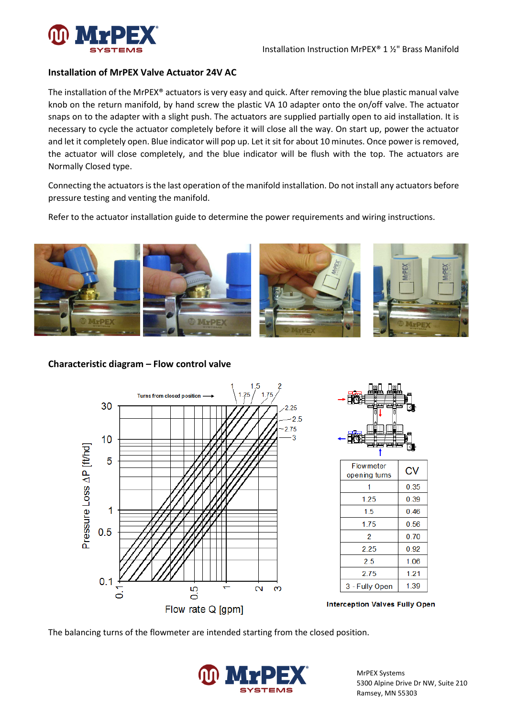![](_page_6_Picture_0.jpeg)

#### **Installation of MrPEX Valve Actuator 24V AC**

The installation of the MrPEX® actuators is very easy and quick. After removing the blue plastic manual valve knob on the return manifold, by hand screw the plastic VA 10 adapter onto the on/off valve. The actuator snaps on to the adapter with a slight push. The actuators are supplied partially open to aid installation. It is necessary to cycle the actuator completely before it will close all the way. On start up, power the actuator and let it completely open. Blue indicator will pop up. Let it sit for about 10 minutes. Once power is removed, the actuator will close completely, and the blue indicator will be flush with the top. The actuators are Normally Closed type.

Connecting the actuators is the last operation of the manifold installation. Do not install any actuators before pressure testing and venting the manifold.

Refer to the actuator installation guide to determine the power requirements and wiring instructions.

![](_page_6_Picture_6.jpeg)

#### **Characteristic diagram – Flow control valve**

![](_page_6_Figure_8.jpeg)

![](_page_6_Figure_9.jpeg)

| <b>Flowmeter</b><br>opening turns | СV   |
|-----------------------------------|------|
|                                   | 0.35 |
| 1 25                              | 0.39 |
| 1.5                               | 0.46 |
| 1.75                              | 0.56 |
| 2                                 | 070  |
| 225                               | 0.92 |
| 25                                | 1.06 |
| 2 75                              | 121  |
| 3 - Fully Open                    | 1.39 |

![](_page_6_Figure_11.jpeg)

The balancing turns of the flowmeter are intended starting from the closed position.

![](_page_6_Picture_13.jpeg)